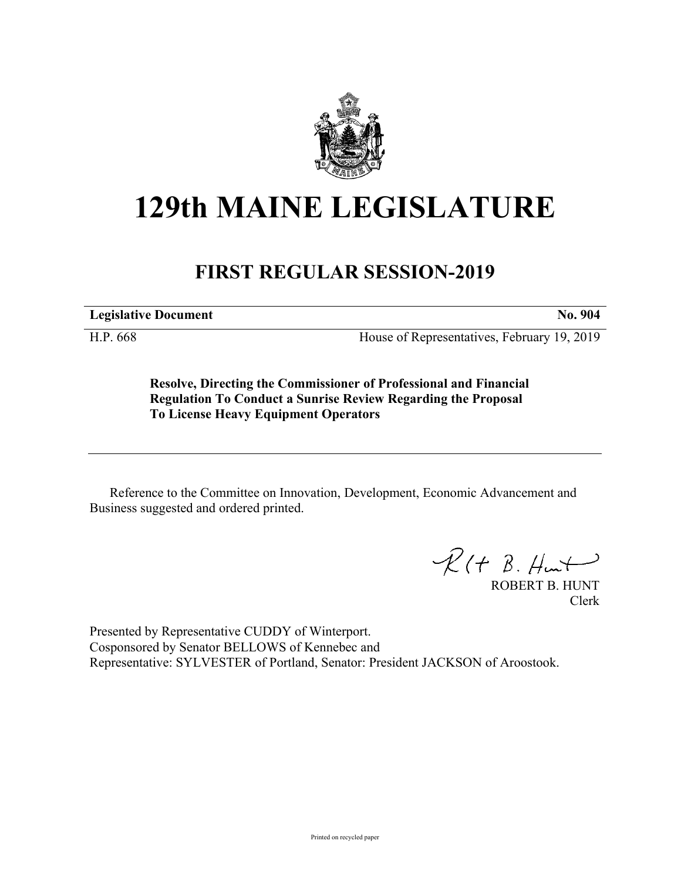

## **129th MAINE LEGISLATURE**

## **FIRST REGULAR SESSION-2019**

**Legislative Document No. 904**

H.P. 668 House of Representatives, February 19, 2019

**Resolve, Directing the Commissioner of Professional and Financial Regulation To Conduct a Sunrise Review Regarding the Proposal To License Heavy Equipment Operators**

Reference to the Committee on Innovation, Development, Economic Advancement and Business suggested and ordered printed.

 $R(H B. Hmt)$ 

ROBERT B. HUNT Clerk

Presented by Representative CUDDY of Winterport. Cosponsored by Senator BELLOWS of Kennebec and Representative: SYLVESTER of Portland, Senator: President JACKSON of Aroostook.